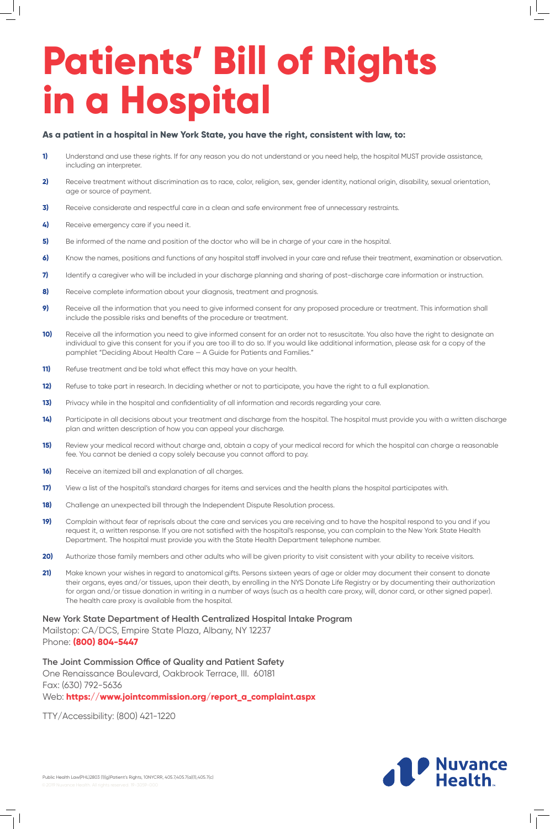## **Patients' Bill of Rights in a Hospital**

- **1)** Understand and use these rights. If for any reason you do not understand or you need help, the hospital MUST provide assistance, including an interpreter.
- **2)** Receive treatment without discrimination as to race, color, religion, sex, gender identity, national origin, disability, sexual orientation, age or source of payment.
- **3)** Receive considerate and respectful care in a clean and safe environment free of unnecessary restraints.
- **4)** Receive emergency care if you need it.
- **5)** Be informed of the name and position of the doctor who will be in charge of your care in the hospital.
- **6)** Know the names, positions and functions of any hospital staff involved in your care and refuse their treatment, examination or observation.
- **7)** Identify a caregiver who will be included in your discharge planning and sharing of post-discharge care information or instruction.
- **8)** Receive complete information about your diagnosis, treatment and prognosis.
- **9)** Receive all the information that you need to give informed consent for any proposed procedure or treatment. This information shall include the possible risks and benefits of the procedure or treatment.
- **10)** Receive all the information you need to give informed consent for an order not to resuscitate. You also have the right to designate an individual to give this consent for you if you are too ill to do so. If you would like additional information, please ask for a copy of the pamphlet "Deciding About Health Care — A Guide for Patients and Families."
- **11)** Refuse treatment and be told what effect this may have on your health.
- 12) Refuse to take part in research. In deciding whether or not to participate, you have the right to a full explanation.
- **13)** Privacy while in the hospital and confidentiality of all information and records regarding your care.
- 14) Participate in all decisions about your treatment and discharge from the hospital. The hospital must provide you with a written discharge plan and written description of how you can appeal your discharge.
- **15)** Review your medical record without charge and, obtain a copy of your medical record for which the hospital can charge a reasonable fee. You cannot be denied a copy solely because you cannot afford to pay.
- **16)** Receive an itemized bill and explanation of all charges.
- **17)** View a list of the hospital's standard charges for items and services and the health plans the hospital participates with.
- **18)** Challenge an unexpected bill through the Independent Dispute Resolution process.
- 19) Complain without fear of reprisals about the care and services you are receiving and to have the hospital respond to you and if you request it, a written response. If you are not satisfied with the hospital's response, you can complain to the New York State Health Department. The hospital must provide you with the State Health Department telephone number.
- 20) Authorize those family members and other adults who will be given priority to visit consistent with your ability to receive visitors.
- **21)** Make known your wishes in regard to anatomical gifts. Persons sixteen years of age or older may document their consent to donate

## **As a patient in a hospital in New York State, you have the right, consistent with law, to:**

their organs, eyes and/or tissues, upon their death, by enrolling in the NYS Donate Life Registry or by documenting their authorization for organ and/or tissue donation in writing in a number of ways (such as a health care proxy, will, donor card, or other signed paper). The health care proxy is available from the hospital.

**New York State Department of Health Centralized Hospital Intake Program** Mailstop: CA/DCS, Empire State Plaza, Albany, NY 12237 Phone: **(800) 804-5447**

**The Joint Commission Office of Quality and Patient Safety** One Renaissance Boulevard, Oakbrook Terrace, III. 60181 Fax: (630) 792-5636 Web: **https://www.jointcommission.org/report\_a\_complaint.aspx**

TTY/Accessibility: (800) 421-1220

Public Health Law(PHL)2803 (1)(g)Patient's Rights, 10NYCRR, 405.7,405.7(a)(1),405.7(c)